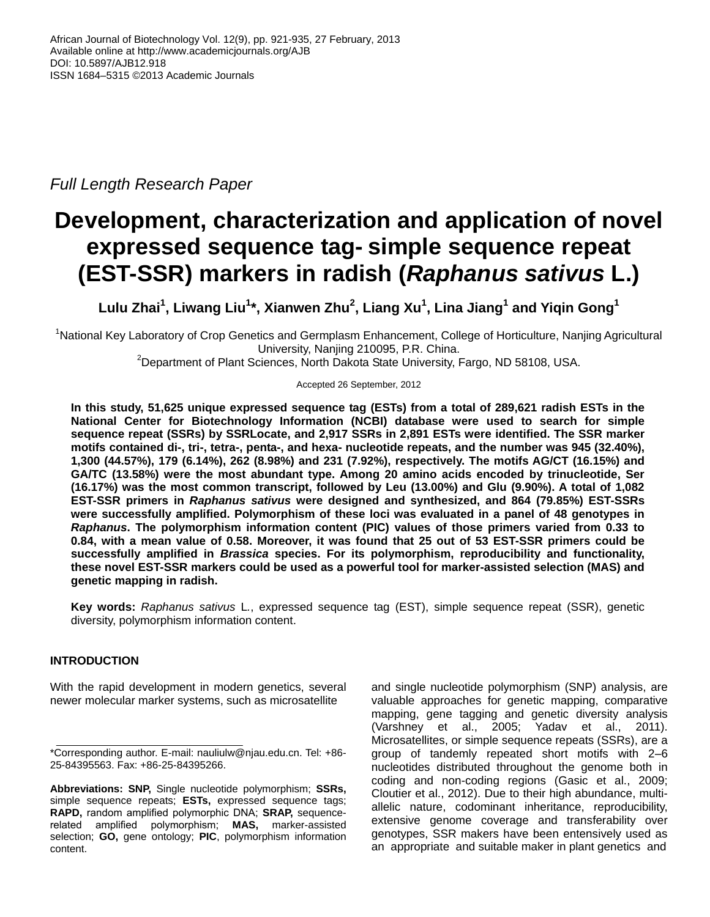*Full Length Research Paper*

# **Development, characterization and application of novel expressed sequence tag- simple sequence repeat (EST-SSR) markers in radish (***Raphanus sativus* **L.)**

**Lulu Zhai<sup>1</sup> , Liwang Liu<sup>1</sup> \*, Xianwen Zhu<sup>2</sup> , Liang Xu<sup>1</sup> , Lina Jiang<sup>1</sup> and Yiqin Gong<sup>1</sup>**

<sup>1</sup>National Key Laboratory of Crop Genetics and Germplasm Enhancement, College of Horticulture, Nanjing Agricultural University, Nanjing 210095, P.R. China.

 ${}^{2}$ Department of Plant Sciences, North Dakota State University, Fargo, ND 58108, USA.

Accepted 26 September, 2012

**In this study, 51,625 unique expressed sequence tag (ESTs) from a total of 289,621 radish ESTs in the National Center for Biotechnology Information (NCBI) database were used to search for simple sequence repeat (SSRs) by SSRLocate, and 2,917 SSRs in 2,891 ESTs were identified. The SSR marker motifs contained di-, tri-, tetra-, penta-, and hexa- nucleotide repeats, and the number was 945 (32.40%), 1,300 (44.57%), 179 (6.14%), 262 (8.98%) and 231 (7.92%), respectively. The motifs AG/CT (16.15%) and GA/TC (13.58%) were the most abundant type. Among 20 amino acids encoded by trinucleotide, Ser (16.17%) was the most common transcript, followed by Leu (13.00%) and Glu (9.90%). A total of 1,082 EST-SSR primers in** *Raphanus sativus* **were designed and synthesized, and 864 (79.85%) EST-SSRs were successfully amplified. Polymorphism of these loci was evaluated in a panel of 48 genotypes in**  *Raphanus***. The polymorphism information content (PIC) values of those primers varied from 0.33 to 0.84, with a mean value of 0.58. Moreover, it was found that 25 out of 53 EST-SSR primers could be successfully amplified in** *Brassica* **species. For its polymorphism, reproducibility and functionality, these novel EST-SSR markers could be used as a powerful tool for marker-assisted selection (MAS) and genetic mapping in radish.**

**Key words:** *Raphanus sativus* L*.*, expressed sequence tag (EST), simple sequence repeat (SSR), genetic diversity, polymorphism information content.

# **INTRODUCTION**

With the rapid development in modern genetics, several newer molecular marker systems, such as microsatellite

and single nucleotide polymorphism (SNP) analysis, are valuable approaches for genetic mapping, comparative mapping, gene tagging and genetic diversity analysis (Varshney et al., 2005; Yadav et al., 2011). Microsatellites, or simple sequence repeats (SSRs), are a group of tandemly repeated short motifs with 2–6 nucleotides distributed throughout the genome both in coding and non-coding regions (Gasic et al., 2009; Cloutier et al., 2012). Due to their high abundance, multiallelic nature, codominant inheritance, reproducibility, extensive genome coverage and transferability over genotypes, SSR makers have been entensively used as an appropriate and suitable maker in plant genetics and

<sup>\*</sup>Corresponding author. E-mail: nauliulw@njau.edu.cn. Tel: +86- 25-84395563. Fax: +86-25-84395266.

**Abbreviations: SNP,** Single nucleotide polymorphism; **SSRs,** simple sequence repeats; **ESTs,** expressed sequence tags; **RAPD,** random amplified polymorphic DNA; **SRAP,** sequencerelated amplified polymorphism; **MAS,** marker-assisted selection; **GO,** gene ontology; **PIC**, polymorphism information content.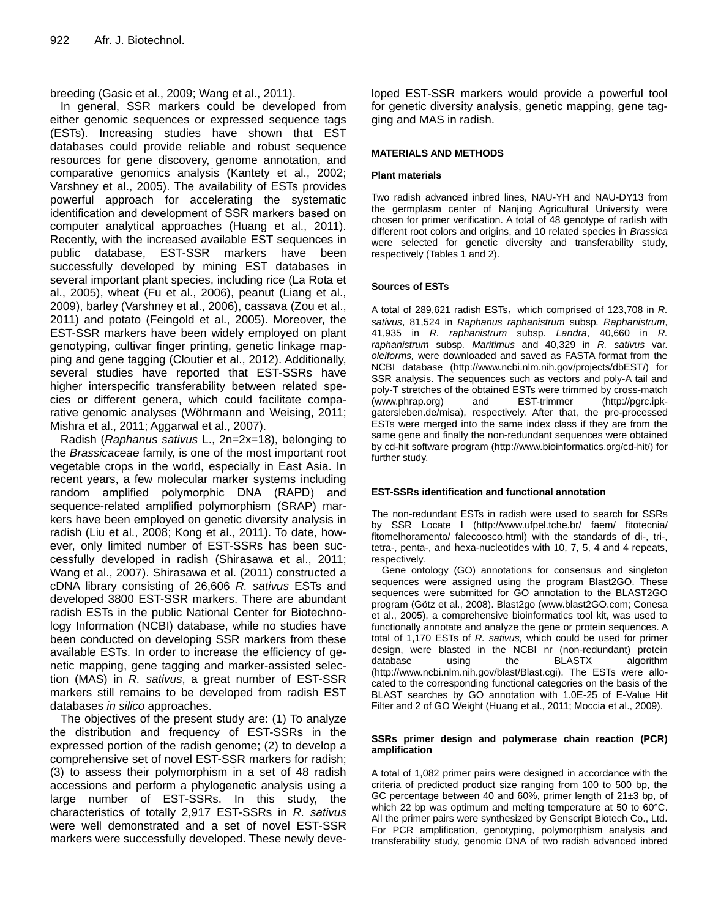breeding (Gasic et al., 2009; Wang et al., 2011).

In general, SSR markers could be developed from either genomic sequences or expressed sequence tags (ESTs). Increasing studies have shown that EST databases could provide reliable and robust sequence resources for gene discovery, genome annotation, and comparative genomics analysis (Kantety et al., 2002; Varshney et al., 2005). The availability of ESTs provides powerful approach for accelerating the systematic identification and development of SSR markers based on computer analytical approaches (Huang et al., 2011). Recently, with the increased available EST sequences in public database, EST-SSR markers have been successfully developed by mining EST databases in several important plant species, including rice (La Rota et al., 2005), wheat (Fu et al., 2006), peanut (Liang et al., 2009), barley (Varshney et al., 2006), cassava (Zou et al., 2011) and potato (Feingold et al., 2005). Moreover, the EST-SSR markers have been widely employed on plant genotyping, cultivar finger printing, genetic linkage mapping and gene tagging (Cloutier et al., 2012). Additionally, several studies have reported that EST-SSRs have higher interspecific transferability between related species or different genera, which could facilitate comparative genomic analyses (Wöhrmann and Weising, 2011; Mishra et al., 2011; Aggarwal et al., 2007).

Radish (*Raphanus sativus* L., 2n=2x=18), belonging to the *Brassicaceae* family, is one of the most important root vegetable crops in the world, especially in East Asia. In recent years, a few molecular marker systems including random amplified polymorphic DNA (RAPD) and sequence-related amplified polymorphism (SRAP) markers have been employed on genetic diversity analysis in radish (Liu et al., 2008; Kong et al., 2011). To date, however, only limited number of EST-SSRs has been successfully developed in radish (Shirasawa et al., 2011; Wang et al., 2007). Shirasawa et al. (2011) constructed a cDNA library consisting of 26,606 *R. sativus* ESTs and developed 3800 EST-SSR markers. There are abundant radish ESTs in the public National Center for Biotechnology Information (NCBI) database, while no studies have been conducted on developing SSR markers from these available ESTs. In order to increase the efficiency of genetic mapping, gene tagging and marker-assisted selection (MAS) in *R. sativus*, a great number of EST-SSR markers still remains to be developed from radish EST databases *in silico* approaches.

The objectives of the present study are: (1) To analyze the distribution and frequency of EST-SSRs in the expressed portion of the radish genome; (2) to develop a comprehensive set of novel EST-SSR markers for radish; (3) to assess their polymorphism in a set of 48 radish accessions and perform a phylogenetic analysis using a large number of EST-SSRs. In this study, the characteristics of totally 2,917 EST-SSRs in *R. sativus* were well demonstrated and a set of novel EST-SSR markers were successfully developed. These newly deve-

loped EST-SSR markers would provide a powerful tool for genetic diversity analysis, genetic mapping, gene tagging and MAS in radish.

## **MATERIALS AND METHODS**

## **Plant materials**

Two radish advanced inbred lines, NAU-YH and NAU-DY13 from the germplasm center of Nanjing Agricultural University were chosen for primer verification. A total of 48 genotype of radish with different root colors and origins, and 10 related species in *Brassica* were selected for genetic diversity and transferability study, respectively (Tables 1 and 2).

## **Sources of ESTs**

A total of 289,621 radish ESTs,which comprised of 123,708 in *R. sativus*, 81,524 in *Raphanus raphanistrum* subsp*. Raphanistrum*, 41,935 in *R. raphanistrum* subsp*. Landra*, 40,660 in *R. raphanistrum* subsp*. Maritimus* and 40,329 in *R. sativus* var. *oleiforms,* were downloaded and saved as FASTA format from the NCBI database (http://www.ncbi.nlm.nih.gov/projects/dbEST/) for SSR analysis. The sequences such as vectors and poly-A tail and poly-T stretches of the obtained ESTs were trimmed by cross-match [\(www.phrap.org\)](http://www.phrap.org/) and EST-trimmer [\(http://pgrc.ipk](http://pgrc.ipk-gatersleben.de/misa)[gatersleben.de/misa\)](http://pgrc.ipk-gatersleben.de/misa), respectively. After that, the pre-processed ESTs were merged into the same index class if they are from the same gene and finally the non-redundant sequences were obtained by cd-hit software program [\(http://www.bioinformatics.org/cd-hit/\)](http://www.bioinformatics.org/cd-hit/) for further study.

## **EST-SSRs identification and functional annotation**

The non-redundant ESTs in radish were used to search for SSRs by SSR Locate I (http://www.ufpel.tche.br/ faem/ fitotecnia/ fitomelhoramento/ falecoosco.html) with the standards of di-, tri-, tetra-, penta-, and hexa-nucleotides with 10, 7, 5, 4 and 4 repeats, respectively.

Gene ontology (GO) annotations for consensus and singleton sequences were assigned using the program Blast2GO. These sequences were submitted for GO annotation to the BLAST2GO program (Götz et al., 2008). Blast2go [\(www.blast2GO.com;](http://www.blast2go.com/) Conesa et al., 2005), a comprehensive bioinformatics tool kit, was used to functionally annotate and analyze the gene or protein sequences. A total of 1,170 ESTs of *R. sativus,* which could be used for primer design, were blasted in the NCBI nr (non-redundant) protein<br>database using the BLASTX algorithm using the BLASTX algorithm (http://www.ncbi.nlm.nih.gov/blast/Blast.cgi). The ESTs were allocated to the corresponding functional categories on the basis of the BLAST searches by GO annotation with 1.0E-25 of E-Value Hit Filter and 2 of GO Weight (Huang et al., 2011; Moccia et al., 2009).

#### **SSRs primer design and polymerase chain reaction (PCR) amplification**

A total of 1,082 primer pairs were designed in accordance with the criteria of predicted product size ranging from 100 to 500 bp, the GC percentage between 40 and 60%, primer length of 21±3 bp, of which 22 bp was optimum and melting temperature at 50 to 60°C. All the primer pairs were synthesized by Genscript Biotech Co., Ltd. For PCR amplification, genotyping, polymorphism analysis and transferability study, genomic DNA of two radish advanced inbred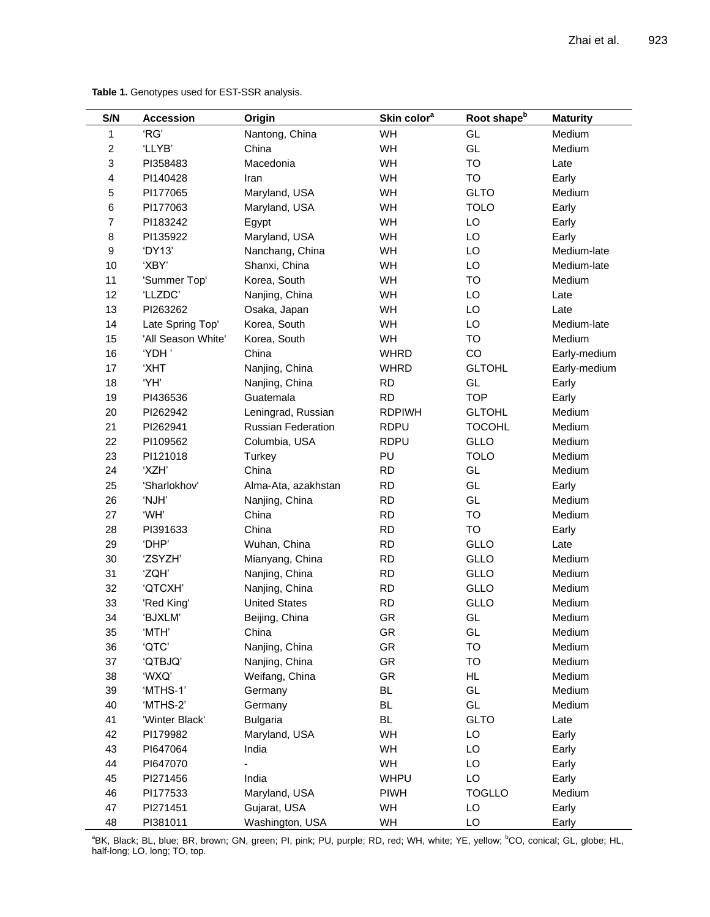| S/N              | <b>Accession</b>   | Origin                    | Skin color <sup>a</sup> | Root shape <sup>b</sup> | <b>Maturity</b> |
|------------------|--------------------|---------------------------|-------------------------|-------------------------|-----------------|
| 1                | 'RG'               | Nantong, China            | WH                      | GL                      | Medium          |
| $\overline{c}$   | 'LLYB'             | China                     | WH                      | GL                      | Medium          |
| 3                | PI358483           | Macedonia                 | WH                      | <b>TO</b>               | Late            |
| 4                | PI140428           | Iran                      | WH                      | <b>TO</b>               | Early           |
| 5                | PI177065           | Maryland, USA             | WH                      | <b>GLTO</b>             | Medium          |
| 6                | PI177063           | Maryland, USA             | WH                      | <b>TOLO</b>             | Early           |
| $\overline{7}$   | PI183242           | Egypt                     | WH                      | LO                      | Early           |
| $\bf8$           | PI135922           | Maryland, USA             | WH                      | LO                      | Early           |
| $\boldsymbol{9}$ | 'DY13'             | Nanchang, China           | WH                      | LO                      | Medium-late     |
| 10               | 'XBY'              | Shanxi, China             | WH                      | LO                      | Medium-late     |
| 11               | 'Summer Top'       | Korea, South              | WH                      | TO                      | Medium          |
| 12               | 'LLZDC'            | Nanjing, China            | WH                      | LO                      | Late            |
| 13               | PI263262           | Osaka, Japan              | WH                      | LO                      | Late            |
| 14               | Late Spring Top'   | Korea, South              | WH                      | LO                      | Medium-late     |
| 15               | 'All Season White' | Korea, South              | WH                      | TO                      | Medium          |
| 16               | 'YDH'              | China                     | <b>WHRD</b>             | CO                      | Early-medium    |
| 17               | 'XHT               | Nanjing, China            | <b>WHRD</b>             | <b>GLTOHL</b>           | Early-medium    |
| 18               | 'YH'               | Nanjing, China            | <b>RD</b>               | GL                      | Early           |
| 19               | PI436536           | Guatemala                 | <b>RD</b>               | <b>TOP</b>              | Early           |
| 20               | PI262942           | Leningrad, Russian        | <b>RDPIWH</b>           | <b>GLTOHL</b>           | Medium          |
| 21               | PI262941           | <b>Russian Federation</b> | <b>RDPU</b>             | <b>TOCOHL</b>           | Medium          |
| 22               | PI109562           | Columbia, USA             | <b>RDPU</b>             | GLLO                    | Medium          |
| 23               | PI121018           | Turkey                    | PU                      | <b>TOLO</b>             | Medium          |
| 24               | 'XZH'              | China                     | <b>RD</b>               | GL                      | Medium          |
| 25               | 'Sharlokhov'       | Alma-Ata, azakhstan       | <b>RD</b>               | GL                      | Early           |
| 26               | 'NJH'              | Nanjing, China            | <b>RD</b>               | GL                      | Medium          |
| 27               | 'WH'               | China                     | <b>RD</b>               | TO                      | Medium          |
| 28               | PI391633           | China                     | <b>RD</b>               | <b>TO</b>               | Early           |
| 29               | 'DHP'              | Wuhan, China              | <b>RD</b>               | GLLO                    | Late            |
| 30               | 'ZSYZH'            | Mianyang, China           | <b>RD</b>               | GLLO                    | Medium          |
| 31               | 'ZQH'              | Nanjing, China            | <b>RD</b>               | GLLO                    | Medium          |
| 32               | 'QTCXH'            | Nanjing, China            | <b>RD</b>               | <b>GLLO</b>             | Medium          |
| 33               | 'Red King'         | <b>United States</b>      | <b>RD</b>               | GLLO                    | Medium          |
| 34               | 'BJXLM'            | Beijing, China            | <b>GR</b>               | GL                      | Medium          |
| 35               | 'MTH'              | China                     | GR                      | GL                      | Medium          |
| 36               | 'QTC'              | Nanjing, China            | GR                      | TO                      | Medium          |
| 37               | 'QTBJQ'            | Nanjing, China            | GR                      | TO                      | Medium          |
| 38               | 'WXQ'              | Weifang, China            | GR                      | HL.                     | Medium          |
| 39               | 'MTHS-1'           | Germany                   | <b>BL</b>               | GL                      | Medium          |
| 40               | 'MTHS-2'           | Germany                   | BL                      | GL                      | Medium          |
| 41               | 'Winter Black'     | <b>Bulgaria</b>           | BL                      | <b>GLTO</b>             | Late            |
| 42               | PI179982           | Maryland, USA             | WH                      | LO                      | Early           |
| 43               | PI647064           | India                     | WH                      | LO                      | Early           |
| 44               | PI647070           |                           | WH                      | LO                      | Early           |
| 45               | PI271456           | India                     | WHPU                    | LO                      | Early           |
| 46               | PI177533           | Maryland, USA             | <b>PIWH</b>             | <b>TOGLLO</b>           | Medium          |
| 47               | PI271451           | Gujarat, USA              | WH                      | LO                      | Early           |
| 48               | PI381011           | Washington, USA           | WH                      | LO                      | Early           |

**Table 1.** Genotypes used for EST-SSR analysis.

<sup>a</sup>BK, Black; BL, blue; BR, brown; GN, green; PI, pink; PU, purple; RD, red; WH, white; YE, yellow; <sup>b</sup>CO, conical; GL, globe; HL, half-long; LO, long; TO, top.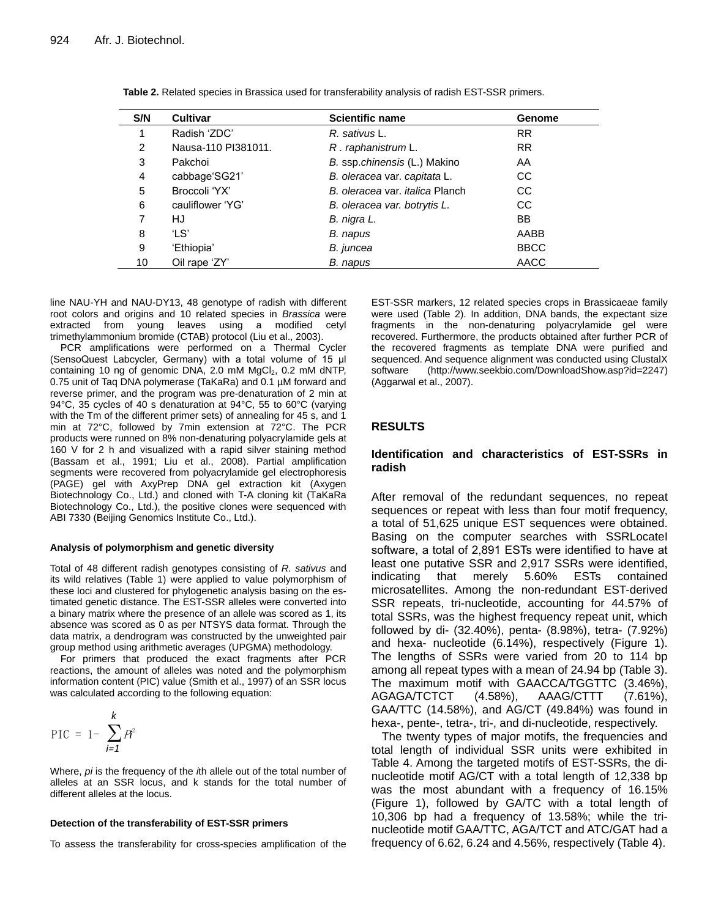| S/N | <b>Cultivar</b>     | <b>Scientific name</b>                 | <b>Genome</b> |
|-----|---------------------|----------------------------------------|---------------|
|     | Radish 'ZDC'        | R. sativus L.                          | <b>RR</b>     |
| 2   | Nausa-110 PI381011. | R. raphanistrum L.                     | <b>RR</b>     |
| 3   | Pakchoi             | B. ssp.chinensis (L.) Makino           | AA            |
| 4   | cabbage'SG21'       | B. oleracea var. capitata L.           | CC            |
| 5   | Broccoli 'YX'       | B. oleracea var. <i>italica</i> Planch | CC            |
| 6   | cauliflower 'YG'    | B. oleracea var. botrytis L.           | CC            |
|     | HJ                  | B. nigra L.                            | BB            |
| 8   | 'LS'                | B. napus                               | AABB          |
| 9   | 'Ethiopia'          | B. juncea                              | <b>BBCC</b>   |
| 10  | Oil rape 'ZY'       | B. napus                               | AACC          |

**Table 2.** Related species in Brassica used for transferability analysis of radish EST-SSR primers.

line NAU-YH and NAU-DY13, 48 genotype of radish with different root colors and origins and 10 related species in *Brassica* were extracted from young leaves using a modified cetyl trimethylammonium bromide (CTAB) protocol (Liu et al., 2003).

PCR amplifications were performed on a Thermal Cycler (SensoQuest Labcycler, Germany) with a total volume of 15 μl containing 10 ng of genomic DNA, 2.0 mM MgCl<sub>2</sub>, 0.2 mM dNTP, 0.75 unit of Taq DNA polymerase (TaKaRa) and 0.1 µM forward and reverse primer, and the program was pre-denaturation of 2 min at 94°C, 35 cycles of 40 s denaturation at 94°C, 55 to 60°C (varying with the Tm of the different primer sets) of annealing for 45 s, and 1 min at 72°C, followed by 7min extension at 72°C. The PCR products were runned on 8% non-denaturing polyacrylamide gels at 160 V for 2 h and visualized with a rapid silver staining method (Bassam et al., 1991; Liu et al., 2008). Partial amplification segments were recovered from polyacrylamide gel electrophoresis (PAGE) gel with AxyPrep DNA gel extraction kit (Axygen Biotechnology Co., Ltd.) and cloned with T-A cloning kit (TaKaRa Biotechnology Co., Ltd.), the positive clones were sequenced with ABI 7330 (Beijing Genomics Institute Co., Ltd.).

#### **Analysis of polymorphism and genetic diversity**

Total of 48 different radish genotypes consisting of *R. sativus* and its wild relatives (Table 1) were applied to value polymorphism of these loci and clustered for phylogenetic analysis basing on the estimated genetic distance. The EST-SSR alleles were converted into a binary matrix where the presence of an allele was scored as 1, its absence was scored as 0 as per NTSYS data format. Through the data matrix, a dendrogram was constructed by the unweighted pair group method using arithmetic averages (UPGMA) methodology.

For primers that produced the exact fragments after PCR reactions, the amount of alleles was noted and the polymorphism information content (PIC) value (Smith et al., 1997) of an SSR locus was calculated according to the following equation:

$$
\text{PIC} = 1 - \sum_{i=1}^{k} P_i^2
$$

Where, *pi* is the frequency of the *i*th allele out of the total number of alleles at an SSR locus, and k stands for the total number of different alleles at the locus.

#### **Detection of the transferability of EST-SSR primers**

To assess the transferability for cross-species amplification of the

EST-SSR markers, 12 related species crops in Brassicaeae family were used (Table 2). In addition, DNA bands, the expectant size fragments in the non-denaturing polyacrylamide gel were recovered. Furthermore, the products obtained after further PCR of the recovered fragments as template DNA were purified and sequenced. And sequence alignment was conducted using ClustalX software [\(http://www.seekbio.com/DownloadShow.asp?id=2247\)](http://www.seekbio.com/DownloadShow.asp?id=2247) (Aggarwal et al., 2007).

## **RESULTS**

## **Identification and characteristics of EST-SSRs in radish**

After removal of the redundant sequences, no repeat sequences or repeat with less than four motif frequency, a total of 51,625 unique EST sequences were obtained. Basing on the computer searches with SSRLocateI software, a total of 2,891 ESTs were identified to have at least one putative SSR and 2,917 SSRs were identified, indicating that merely 5.60% ESTs contained microsatellites. Among the non-redundant EST-derived SSR repeats, tri-nucleotide, accounting for 44.57% of total SSRs, was the highest frequency repeat unit, which followed by di- (32.40%), penta- (8.98%), tetra- (7.92%) and hexa- nucleotide (6.14%), respectively (Figure 1). The lengths of SSRs were varied from 20 to 114 bp among all repeat types with a mean of 24.94 bp (Table 3). The maximum motif with GAACCA/TGGTTC (3.46%), AGAGA/TCTCT (4.58%), AAAG/CTTT (7.61%), GAA/TTC (14.58%), and AG/CT (49.84%) was found in hexa-, pente-, tetra-, tri-, and di-nucleotide, respectively.

The twenty types of major motifs, the frequencies and total length of individual SSR units were exhibited in Table 4. Among the targeted motifs of EST-SSRs, the dinucleotide motif AG/CT with a total length of 12,338 bp was the most abundant with a frequency of 16.15% (Figure 1), followed by GA/TC with a total length of 10,306 bp had a frequency of 13.58%; while the trinucleotide motif GAA/TTC, AGA/TCT and ATC/GAT had a frequency of 6.62, 6.24 and 4.56%, respectively (Table 4).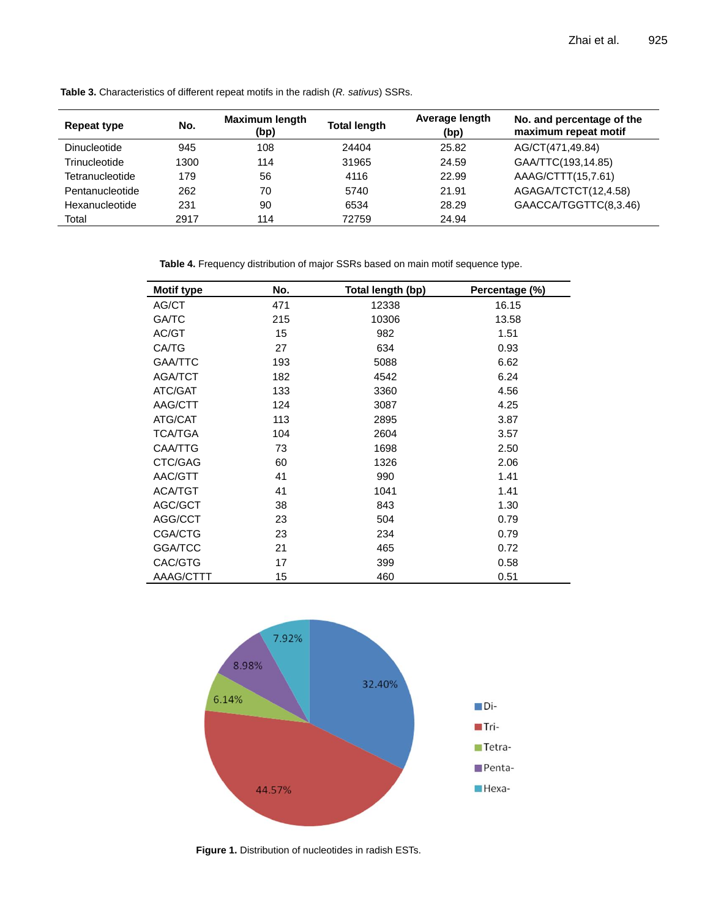| Repeat type         | No.  | <b>Maximum length</b><br>(bp) | <b>Total length</b> | Average length<br>(bp) | No. and percentage of the<br>maximum repeat motif |
|---------------------|------|-------------------------------|---------------------|------------------------|---------------------------------------------------|
| <b>Dinucleotide</b> | 945  | 108                           | 24404               | 25.82                  | AG/CT(471,49.84)                                  |
| Trinucleotide       | 1300 | 114                           | 31965               | 24.59                  | GAA/TTC(193,14.85)                                |
| Tetranucleotide     | 179  | 56                            | 4116                | 22.99                  | AAAG/CTTT(15,7.61)                                |
| Pentanucleotide     | 262  | 70                            | 5740                | 21.91                  | AGAGA/TCTCT(12,4.58)                              |
| Hexanucleotide      | 231  | 90                            | 6534                | 28.29                  | GAACCA/TGGTTC(8,3.46)                             |
| Total               | 2917 | 114                           | 72759               | 24.94                  |                                                   |

**Table 3.** Characteristics of different repeat motifs in the radish (*R. sativus*) SSRs.

**Table 4.** Frequency distribution of major SSRs based on main motif sequence type.

| Motif type     | No. | Total length (bp) | Percentage (%) |
|----------------|-----|-------------------|----------------|
| AG/CT          | 471 | 12338             | 16.15          |
| <b>GA/TC</b>   | 215 | 10306             | 13.58          |
| AC/GT          | 15  | 982               | 1.51           |
| CA/TG          | 27  | 634               | 0.93           |
| <b>GAA/TTC</b> | 193 | 5088              | 6.62           |
| AGA/TCT        | 182 | 4542              | 6.24           |
| <b>ATC/GAT</b> | 133 | 3360              | 4.56           |
| AAG/CTT        | 124 | 3087              | 4.25           |
| ATG/CAT        | 113 | 2895              | 3.87           |
| <b>TCA/TGA</b> | 104 | 2604              | 3.57           |
| CAA/TTG        | 73  | 1698              | 2.50           |
| CTC/GAG        | 60  | 1326              | 2.06           |
| AAC/GTT        | 41  | 990               | 1.41           |
| <b>ACA/TGT</b> | 41  | 1041              | 1.41           |
| AGC/GCT        | 38  | 843               | 1.30           |
| AGG/CCT        | 23  | 504               | 0.79           |
| CGA/CTG        | 23  | 234               | 0.79           |
| <b>GGA/TCC</b> | 21  | 465               | 0.72           |
| CAC/GTG        | 17  | 399               | 0.58           |
| AAAG/CTTT      | 15  | 460               | 0.51           |



**Figure 1.** Distribution of nucleotides in radish ESTs.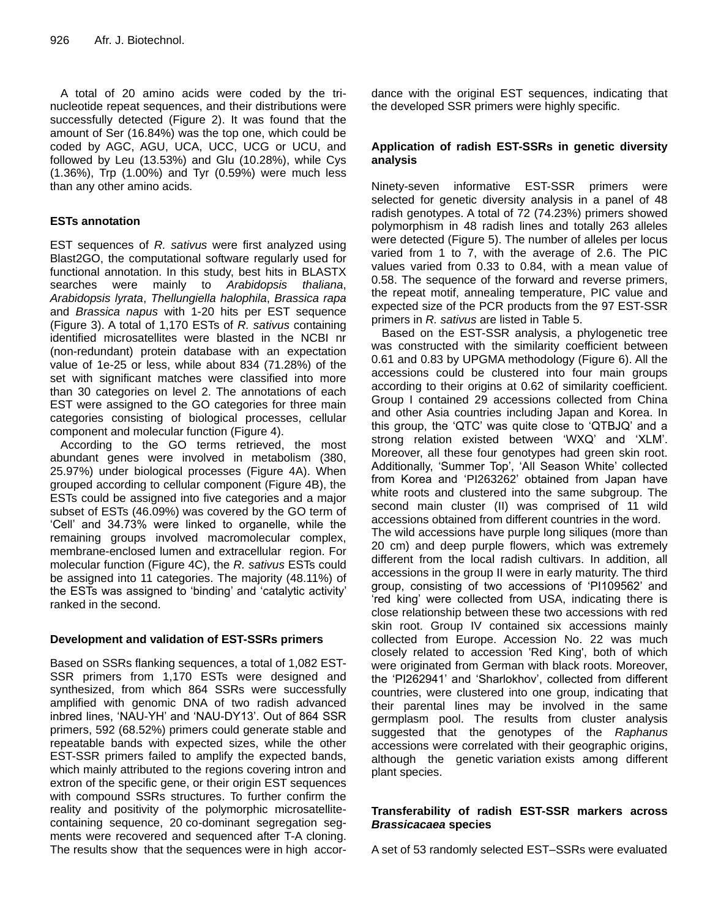A total of 20 amino acids were coded by the trinucleotide repeat sequences, and their distributions were successfully detected (Figure 2). It was found that the amount of Ser (16.84%) was the top one, which could be coded by AGC, AGU, UCA, UCC, UCG or UCU, and followed by Leu (13.53%) and Glu (10.28%), while Cys (1.36%), Trp (1.00%) and Tyr (0.59%) were much less than any other amino acids.

# **ESTs annotation**

EST sequences of *R. sativus* were first analyzed using Blast2GO, the computational software regularly used for functional annotation. In this study, best hits in BLASTX searches were mainly to *Arabidopsis thaliana*, *Arabidopsis lyrata*, *Thellungiella halophila*, *Brassica rapa* and *Brassica napus* with 1-20 hits per EST sequence (Figure 3). A total of 1,170 ESTs of *R. sativus* containing identified microsatellites were blasted in the NCBI nr (non-redundant) protein database with an expectation value of 1e-25 or less, while about 834 (71.28%) of the set with significant matches were classified into more than 30 categories on level 2. The annotations of each EST were assigned to the GO categories for three main categories consisting of biological processes, cellular component and molecular function (Figure 4).

According to the GO terms retrieved, the most abundant genes were involved in metabolism (380, 25.97%) under biological processes (Figure 4A). When grouped according to cellular component (Figure 4B), the ESTs could be assigned into five categories and a major subset of ESTs (46.09%) was covered by the GO term of 'Cell' and 34.73% were linked to organelle, while the remaining groups involved macromolecular complex, membrane-enclosed lumen and extracellular region. For molecular function (Figure 4C), the *R. sativus* ESTs could be assigned into 11 categories. The majority (48.11%) of the ESTs was assigned to 'binding' and 'catalytic activity' ranked in the second.

# **Development and validation of EST-SSRs primers**

Based on SSRs flanking sequences, a total of 1,082 EST-SSR primers from 1,170 ESTs were designed and synthesized, from which 864 SSRs were successfully amplified with genomic DNA of two radish advanced inbred lines, 'NAU-YH' and 'NAU-DY13'. Out of 864 SSR primers, 592 (68.52%) primers could generate stable and repeatable bands with expected sizes, while the other EST-SSR primers failed to amplify the expected bands, which mainly attributed to the regions covering intron and extron of the specific gene, or their origin EST sequences with compound SSRs structures. To further confirm the reality and positivity of the polymorphic microsatellitecontaining sequence, 20 co-dominant segregation segments were recovered and sequenced after T-A cloning. The results show that the sequences were in high accordance with the original EST sequences, indicating that the developed SSR primers were highly specific.

# **Application of radish EST-SSRs in genetic diversity analysis**

Ninety-seven informative EST-SSR primers were selected for genetic diversity analysis in a panel of 48 radish genotypes. A total of 72 (74.23%) primers showed polymorphism in 48 radish lines and totally 263 alleles were detected (Figure 5). The number of alleles per locus varied from 1 to 7, with the average of 2.6. The PIC values varied from 0.33 to 0.84, with a mean value of 0.58. The sequence of the forward and reverse primers, the repeat motif, annealing temperature, PIC value and expected size of the PCR products from the 97 EST-SSR primers in *R. sativus* are listed in Table 5.

Based on the EST-SSR analysis, a phylogenetic tree was constructed with the similarity coefficient between 0.61 and 0.83 by UPGMA methodology (Figure 6). All the accessions could be clustered into four main groups according to their origins at 0.62 of similarity coefficient. Group I contained 29 accessions collected from China and other Asia countries including Japan and Korea. In this group, the 'QTC' was quite close to 'QTBJQ' and a strong relation existed between 'WXQ' and 'XLM'. Moreover, all these four genotypes had green skin root. Additionally, 'Summer Top', 'All Season White' collected from Korea and 'PI263262' obtained from Japan have white roots and clustered into the same subgroup. The second main cluster (II) was comprised of 11 wild accessions obtained from different countries in the word. The wild accessions have purple long siliques (more than 20 cm) and deep purple flowers, which was extremely different from the local radish cultivars. In addition, all accessions in the group II were in early maturity. The third group, consisting of two accessions of 'PI109562' and 'red king' were collected from USA, indicating there is close relationship between these two accessions with red skin root. Group IV contained six accessions mainly collected from Europe. Accession No. 22 was much closely related to accession 'Red King', both of which were originated from German with black roots. Moreover, the 'PI262941' and 'Sharlokhov', collected from different countries, were clustered into one group, indicating that their parental lines may be involved in the same germplasm pool. The results from cluster analysis suggested that the genotypes of the *Raphanus* accessions were correlated with their geographic origins, although the genetic variation exists among different plant species.

# **Transferability of radish EST-SSR markers across**  *Brassicacaea* **species**

A set of 53 randomly selected EST–SSRs were evaluated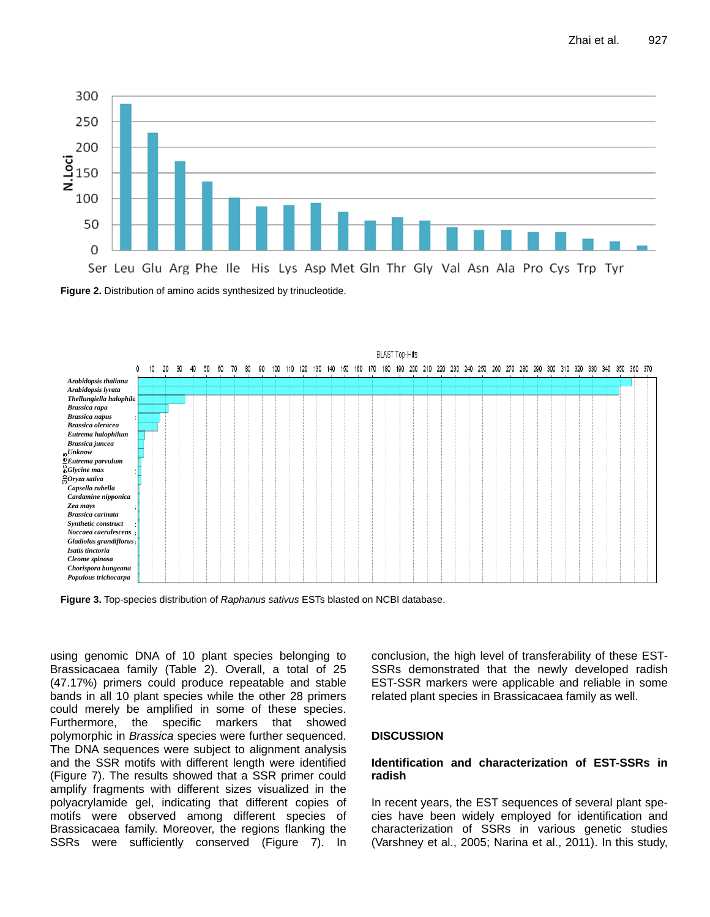





using genomic DNA of 10 plant species belonging to Brassicacaea family (Table 2). Overall, a total of 25 (47.17%) primers could produce repeatable and stable bands in all 10 plant species while the other 28 primers could merely be amplified in some of these species. Furthermore, the specific markers that showed polymorphic in *Brassica* species were further sequenced. The DNA sequences were subject to alignment analysis and the SSR motifs with different length were identified (Figure 7). The results showed that a SSR primer could amplify fragments with different sizes visualized in the polyacrylamide gel, indicating that different copies of motifs were observed among different species of Brassicacaea family. Moreover, the regions flanking the SSRs were sufficiently conserved (Figure 7). In conclusion, the high level of transferability of these EST-SSRs demonstrated that the newly developed radish EST-SSR markers were applicable and reliable in some related plant species in Brassicacaea family as well.

## **DISCUSSION**

## **Identification and characterization of EST-SSRs in radish**

In recent years, the EST sequences of several plant species have been widely employed for identification and characterization of SSRs in various genetic studies (Varshney et al., 2005; Narina et al., 2011). In this study,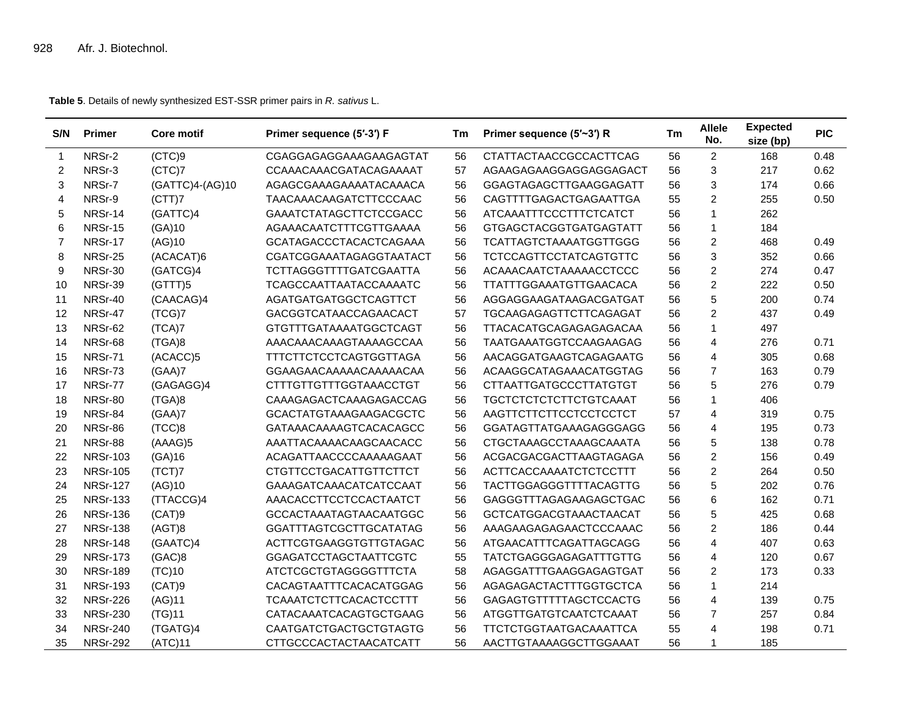**Table 5**. Details of newly synthesized EST-SSR primer pairs in *R. sativus* L.

| S/N            | <b>Primer</b>   | <b>Core motif</b> | Primer sequence (5'-3') F     | Тm | Primer sequence (5'~3') R     | Tm | <b>Allele</b><br>No.    | <b>Expected</b><br>size (bp) | <b>PIC</b> |
|----------------|-----------------|-------------------|-------------------------------|----|-------------------------------|----|-------------------------|------------------------------|------------|
| $\mathbf{1}$   | NRSr-2          | (CTC)9            | CGAGGAGAGGAAAGAAGAGTAT        | 56 | <b>CTATTACTAACCGCCACTTCAG</b> | 56 | $\overline{2}$          | 168                          | 0.48       |
| $\overline{2}$ | NRSr-3          | (CTC)7            | CCAAACAAACGATACAGAAAAT        | 57 | AGAAGAGAAGGAGGAGGAGACT        | 56 | 3                       | 217                          | 0.62       |
| 3              | NRSr-7          | (GATTC)4-(AG)10   | AGAGCGAAAGAAAATACAAACA        | 56 | GGAGTAGAGCTTGAAGGAGATT        | 56 | 3                       | 174                          | 0.66       |
| $\overline{4}$ | NRSr-9          | (CTT)7            | TAACAAACAAGATCTTCCCAAC        | 56 | CAGTTTTGAGACTGAGAATTGA        | 55 | $\overline{2}$          | 255                          | 0.50       |
| 5              | NRSr-14         | (GATTC)4          | GAAATCTATAGCTTCTCCGACC        | 56 | <b>ATCAAATTTCCCTTTCTCATCT</b> | 56 | $\mathbf{1}$            | 262                          |            |
| 6              | NRSr-15         | (GA)10            | AGAAACAATCTTTCGTTGAAAA        | 56 | <b>GTGAGCTACGGTGATGAGTATT</b> | 56 | $\mathbf{1}$            | 184                          |            |
| $\overline{7}$ | NRSr-17         | (AG)10            | GCATAGACCCTACACTCAGAAA        | 56 | TCATTAGTCTAAAATGGTTGGG        | 56 | $\overline{c}$          | 468                          | 0.49       |
| 8              | NRSr-25         | (ACACAT)6         | CGATCGGAAATAGAGGTAATACT       | 56 | <b>TCTCCAGTTCCTATCAGTGTTC</b> | 56 | 3                       | 352                          | 0.66       |
| 9              | NRSr-30         | (GATCG)4          | <b>TCTTAGGGTTTTGATCGAATTA</b> | 56 | ACAAACAATCTAAAAACCTCCC        | 56 | $\overline{c}$          | 274                          | 0.47       |
| 10             | NRSr-39         | (GTTT)5           | TCAGCCAATTAATACCAAAATC        | 56 | TTATTTGGAAATGTTGAACACA        | 56 | $\overline{c}$          | 222                          | 0.50       |
| 11             | NRSr-40         | (CAACAG)4         | AGATGATGATGGCTCAGTTCT         | 56 | AGGAGGAAGATAAGACGATGAT        | 56 | 5                       | 200                          | 0.74       |
| 12             | NRSr-47         | (TCG)7            | GACGGTCATAACCAGAACACT         | 57 | TGCAAGAGAGTTCTTCAGAGAT        | 56 | $\overline{c}$          | 437                          | 0.49       |
| 13             | NRSr-62         | (TCA)7            | <b>GTGTTTGATAAAATGGCTCAGT</b> | 56 | TTACACATGCAGAGAGAGACAA        | 56 | $\mathbf{1}$            | 497                          |            |
| 14             | NRSr-68         | (TGA)8            | AAACAAACAAAGTAAAAGCCAA        | 56 | TAATGAAATGGTCCAAGAAGAG        | 56 | $\overline{4}$          | 276                          | 0.71       |
| 15             | NRSr-71         | (ACACC)5          | <b>TTTCTTCTCCTCAGTGGTTAGA</b> | 56 | AACAGGATGAAGTCAGAGAATG        | 56 | $\overline{4}$          | 305                          | 0.68       |
| 16             | NRSr-73         | (GAA)7            | GGAAGAACAAAAACAAAAACAA        | 56 | ACAAGGCATAGAAACATGGTAG        | 56 | $\overline{7}$          | 163                          | 0.79       |
| 17             | NRSr-77         | (GAGAGG)4         | <b>CTTTGTTGTTTGGTAAACCTGT</b> | 56 | <b>CTTAATTGATGCCCTTATGTGT</b> | 56 | 5                       | 276                          | 0.79       |
| 18             | NRSr-80         | (TGA)8            | CAAAGAGACTCAAAGAGACCAG        | 56 | <b>TGCTCTCTCTCTTCTGTCAAAT</b> | 56 | $\mathbf{1}$            | 406                          |            |
| 19             | NRSr-84         | (GAA)7            | <b>GCACTATGTAAAGAAGACGCTC</b> | 56 | AAGTTCTTCTTCCTCCTCCTCT        | 57 | $\overline{4}$          | 319                          | 0.75       |
| 20             | NRSr-86         | (TCC)8            | GATAAACAAAAGTCACACAGCC        | 56 | GGATAGTTATGAAAGAGGGAGG        | 56 | $\overline{\mathbf{4}}$ | 195                          | 0.73       |
| 21             | NRSr-88         | (AAAG)5           | AAATTACAAAACAAGCAACACC        | 56 | CTGCTAAAGCCTAAAGCAAATA        | 56 | 5                       | 138                          | 0.78       |
| 22             | <b>NRSr-103</b> | (GA)16            | ACAGATTAACCCCAAAAAGAAT        | 56 | ACGACGACGACTTAAGTAGAGA        | 56 | $\overline{c}$          | 156                          | 0.49       |
| 23             | <b>NRSr-105</b> | (TCT)7            | <b>CTGTTCCTGACATTGTTCTTCT</b> | 56 | ACTTCACCAAAATCTCTCCTTT        | 56 | $\overline{c}$          | 264                          | 0.50       |
| 24             | <b>NRSr-127</b> | (AG)10            | GAAAGATCAAACATCATCCAAT        | 56 | TACTTGGAGGGTTTTACAGTTG        | 56 | 5                       | 202                          | 0.76       |
| 25             | <b>NRSr-133</b> | (TTACCG)4         | AAACACCTTCCTCCACTAATCT        | 56 | GAGGGTTTAGAGAAGAGCTGAC        | 56 | 6                       | 162                          | 0.71       |
| 26             | <b>NRSr-136</b> | (CAT)9            | <b>GCCACTAAATAGTAACAATGGC</b> | 56 | GCTCATGGACGTAAACTAACAT        | 56 | 5                       | 425                          | 0.68       |
| 27             | <b>NRSr-138</b> | (AGT)8            | <b>GGATTTAGTCGCTTGCATATAG</b> | 56 | AAAGAAGAGAGAACTCCCAAAC        | 56 | $\overline{2}$          | 186                          | 0.44       |
| 28             | <b>NRSr-148</b> | (GAATC)4          | ACTTCGTGAAGGTGTTGTAGAC        | 56 | ATGAACATTTCAGATTAGCAGG        | 56 | $\overline{4}$          | 407                          | 0.63       |
| 29             | <b>NRSr-173</b> | (GAC)8            | <b>GGAGATCCTAGCTAATTCGTC</b>  | 55 | <b>TATCTGAGGGAGAGATTTGTTG</b> | 56 | $\overline{\mathbf{4}}$ | 120                          | 0.67       |
| 30             | <b>NRSr-189</b> | (TC)10            | <b>ATCTCGCTGTAGGGGTTTCTA</b>  | 58 | AGAGGATTTGAAGGAGAGTGAT        | 56 | $\overline{c}$          | 173                          | 0.33       |
| 31             | <b>NRSr-193</b> | (CAT)9            | CACAGTAATTTCACACATGGAG        | 56 | AGAGAGACTACTTTGGTGCTCA        | 56 | $\mathbf{1}$            | 214                          |            |
| 32             | <b>NRSr-226</b> | (AG)11            | <b>TCAAATCTCTTCACACTCCTTT</b> | 56 | <b>GAGAGTGTTTTTAGCTCCACTG</b> | 56 | $\overline{\mathbf{4}}$ | 139                          | 0.75       |
| 33             | <b>NRSr-230</b> | (TG)11            | CATACAAATCACAGTGCTGAAG        | 56 | <b>ATGGTTGATGTCAATCTCAAAT</b> | 56 | $\overline{7}$          | 257                          | 0.84       |
| 34             | <b>NRSr-240</b> | (TGATG)4          | <b>CAATGATCTGACTGCTGTAGTG</b> | 56 | <b>TTCTCTGGTAATGACAAATTCA</b> | 55 | $\overline{4}$          | 198                          | 0.71       |
| 35             | <b>NRSr-292</b> | (ATC)11           | <b>CTTGCCCACTACTAACATCATT</b> | 56 | AACTTGTAAAAGGCTTGGAAAT        | 56 | $\mathbf{1}$            | 185                          |            |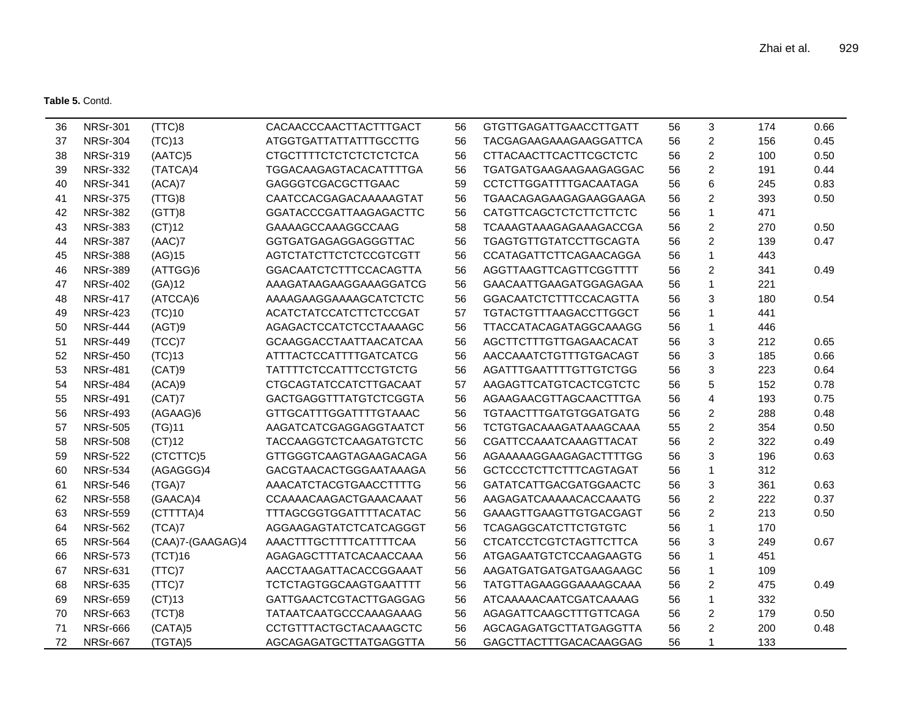**Table 5.** Contd.

| 36 | <b>NRSr-301</b> | (TTC)8           | CACAACCCAACTTACTTTGACT        | 56 | <b>GTGTTGAGATTGAACCTTGATT</b> | 56 | 3              | 174 | 0.66 |
|----|-----------------|------------------|-------------------------------|----|-------------------------------|----|----------------|-----|------|
| 37 | <b>NRSr-304</b> | (TC)13           | ATGGTGATTATTATTTGCCTTG        | 56 | TACGAGAAGAAAGAAGGATTCA        | 56 | $\overline{c}$ | 156 | 0.45 |
| 38 | <b>NRSr-319</b> | (AATC)5          | <b>CTGCTTTTCTCTCTCTCTCTCA</b> | 56 | <b>CTTACAACTTCACTTCGCTCTC</b> | 56 | $\overline{c}$ | 100 | 0.50 |
| 39 | <b>NRSr-332</b> | (TATCA)4         | <b>TGGACAAGAGTACACATTTTGA</b> | 56 | <b>TGATGATGAAGAAGAAGAGGAC</b> | 56 | $\overline{2}$ | 191 | 0.44 |
| 40 | <b>NRSr-341</b> | (ACA)7           | <b>GAGGGTCGACGCTTGAAC</b>     | 59 | <b>CCTCTTGGATTTTGACAATAGA</b> | 56 | 6              | 245 | 0.83 |
| 41 | <b>NRSr-375</b> | (TTG)8           | CAATCCACGAGACAAAAAGTAT        | 56 | TGAACAGAGAAGAGAAGGAAGA        | 56 | $\overline{c}$ | 393 | 0.50 |
| 42 | <b>NRSr-382</b> | (GTT)8           | <b>GGATACCCGATTAAGAGACTTC</b> | 56 | CATGTTCAGCTCTCTTCTTCTC        | 56 | 1              | 471 |      |
| 43 | <b>NRSr-383</b> | (CT)12           | GAAAAGCCAAAGGCCAAG            | 58 | <b>TCAAAGTAAAGAGAAAGACCGA</b> | 56 | $\overline{c}$ | 270 | 0.50 |
| 44 | <b>NRSr-387</b> | (AAC)7           | GGTGATGAGAGGAGGGTTAC          | 56 | <b>TGAGTGTTGTATCCTTGCAGTA</b> | 56 | $\overline{2}$ | 139 | 0.47 |
| 45 | <b>NRSr-388</b> | (AG)15           | AGTCTATCTTCTCTCCGTCGTT        | 56 | CCATAGATTCTTCAGAACAGGA        | 56 | 1              | 443 |      |
| 46 | <b>NRSr-389</b> | (ATTGG)6         | GGACAATCTCTTTCCACAGTTA        | 56 | AGGTTAAGTTCAGTTCGGTTTT        | 56 | $\overline{c}$ | 341 | 0.49 |
| 47 | <b>NRSr-402</b> | (GA)12           | AAAGATAAGAAGGAAAGGATCG        | 56 | GAACAATTGAAGATGGAGAGAA        | 56 | 1              | 221 |      |
| 48 | <b>NRSr-417</b> | (ATCCA)6         | AAAAGAAGGAAAAGCATCTCTC        | 56 | <b>GGACAATCTCTTTCCACAGTTA</b> | 56 | 3              | 180 | 0.54 |
| 49 | <b>NRSr-423</b> | (TC)10           | ACATCTATCCATCTTCTCCGAT        | 57 | TGTACTGTTTAAGACCTTGGCT        | 56 | 1              | 441 |      |
| 50 | <b>NRSr-444</b> | (AGT)9           | AGAGACTCCATCTCCTAAAAGC        | 56 | <b>TTACCATACAGATAGGCAAAGG</b> | 56 | 1              | 446 |      |
| 51 | <b>NRSr-449</b> | (TCC)7           | <b>GCAAGGACCTAATTAACATCAA</b> | 56 | AGCTTCTTTGTTGAGAACACAT        | 56 | 3              | 212 | 0.65 |
| 52 | <b>NRSr-450</b> | $(TC)$ 13        | <b>ATTTACTCCATTTTGATCATCG</b> | 56 | AACCAAATCTGTTTGTGACAGT        | 56 | 3              | 185 | 0.66 |
| 53 | <b>NRSr-481</b> | (CAT)9           | <b>TATTTTCTCCATTTCCTGTCTG</b> | 56 | AGATTTGAATTTTGTTGTCTGG        | 56 | 3              | 223 | 0.64 |
| 54 | <b>NRSr-484</b> | (ACA)9           | CTGCAGTATCCATCTTGACAAT        | 57 | AAGAGTTCATGTCACTCGTCTC        | 56 | 5              | 152 | 0.78 |
| 55 | <b>NRSr-491</b> | (CAT)7           | GACTGAGGTTTATGTCTCGGTA        | 56 | AGAAGAACGTTAGCAACTTTGA        | 56 | 4              | 193 | 0.75 |
| 56 | <b>NRSr-493</b> | (AGAAG)6         | <b>GTTGCATTTGGATTTTGTAAAC</b> | 56 | TGTAACTTTGATGTGGATGATG        | 56 | $\overline{c}$ | 288 | 0.48 |
| 57 | <b>NRSr-505</b> | (TG)11           | AAGATCATCGAGGAGGTAATCT        | 56 | TCTGTGACAAAGATAAAGCAAA        | 55 | $\overline{c}$ | 354 | 0.50 |
| 58 | <b>NRSr-508</b> | (CT)12           | TACCAAGGTCTCAAGATGTCTC        | 56 | CGATTCCAAATCAAAGTTACAT        | 56 | $\overline{c}$ | 322 | 0.49 |
| 59 | <b>NRSr-522</b> | (CTCTTC)5        | GTTGGGTCAAGTAGAAGACAGA        | 56 | AGAAAAAGGAAGAGACTTTTGG        | 56 | 3              | 196 | 0.63 |
| 60 | <b>NRSr-534</b> | (AGAGGG)4        | GACGTAACACTGGGAATAAAGA        | 56 | GCTCCCTCTTCTTTCAGTAGAT        | 56 | 1              | 312 |      |
| 61 | <b>NRSr-546</b> | (TGA)7           | AAACATCTACGTGAACCTTTTG        | 56 | <b>GATATCATTGACGATGGAACTC</b> | 56 | 3              | 361 | 0.63 |
| 62 | <b>NRSr-558</b> | (GAACA)4         | CCAAAACAAGACTGAAACAAAT        | 56 | AAGAGATCAAAAACACCAAATG        | 56 | $\overline{2}$ | 222 | 0.37 |
| 63 | <b>NRSr-559</b> | (CTTTTA)4        | TTTAGCGGTGGATTTTACATAC        | 56 | GAAAGTTGAAGTTGTGACGAGT        | 56 | $\overline{2}$ | 213 | 0.50 |
| 64 | <b>NRSr-562</b> | (TCA)7           | AGGAAGAGTATCTCATCAGGGT        | 56 | <b>TCAGAGGCATCTTCTGTGTC</b>   | 56 | 1              | 170 |      |
| 65 | <b>NRSr-564</b> | (CAA)7-(GAAGAG)4 | AAACTTTGCTTTTCATTTTCAA        | 56 | <b>CTCATCCTCGTCTAGTTCTTCA</b> | 56 | 3              | 249 | 0.67 |
| 66 | <b>NRSr-573</b> | (TCT)16          | AGAGAGCTTTATCACAACCAAA        | 56 | ATGAGAATGTCTCCAAGAAGTG        | 56 | 1              | 451 |      |
| 67 | <b>NRSr-631</b> | (TTC)7           | AACCTAAGATTACACCGGAAAT        | 56 | AAGATGATGATGATGAAGAAGC        | 56 | 1              | 109 |      |
| 68 | <b>NRSr-635</b> | (TTC)7           | <b>TCTCTAGTGGCAAGTGAATTTT</b> | 56 | TATGTTAGAAGGGAAAAGCAAA        | 56 | $\overline{c}$ | 475 | 0.49 |
| 69 | <b>NRSr-659</b> | $(CT)$ 13        | <b>GATTGAACTCGTACTTGAGGAG</b> | 56 | ATCAAAAACAATCGATCAAAAG        | 56 | 1              | 332 |      |
| 70 | <b>NRSr-663</b> | (TCT)8           | TATAATCAATGCCCAAAGAAAG        | 56 | AGAGATTCAAGCTTTGTTCAGA        | 56 | $\overline{c}$ | 179 | 0.50 |
| 71 | <b>NRSr-666</b> | (CATA)5          | CCTGTTTACTGCTACAAAGCTC        | 56 | AGCAGAGATGCTTATGAGGTTA        | 56 | $\overline{c}$ | 200 | 0.48 |
| 72 | <b>NRSr-667</b> | (TGTA)5          | AGCAGAGATGCTTATGAGGTTA        | 56 | GAGCTTACTTTGACACAAGGAG        | 56 | 1              | 133 |      |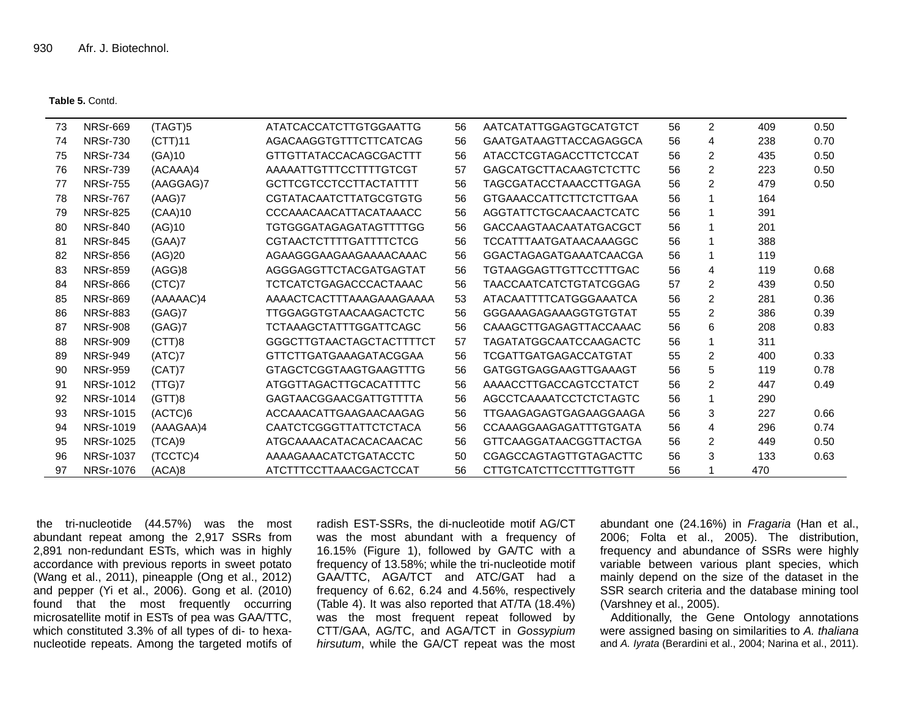**Table 5.** Contd.

| 73 | <b>NRSr-669</b>  | (TAGT)5   | ATATCACCATCTTGTGGAATTG        | 56 | AATCATATTGGAGTGCATGTCT        | 56 | 2              | 409 | 0.50 |
|----|------------------|-----------|-------------------------------|----|-------------------------------|----|----------------|-----|------|
| 74 | <b>NRSr-730</b>  | (CTT)11   | AGACAAGGTGTTTCTTCATCAG        | 56 | GAATGATAAGTTACCAGAGGCA        | 56 | 4              | 238 | 0.70 |
| 75 | <b>NRSr-734</b>  | (GA)10    | GTTGTTATACCACAGCGACTTT        | 56 | ATACCTCGTAGACCTTCTCCAT        | 56 | 2              | 435 | 0.50 |
| 76 | <b>NRSr-739</b>  | (ACAAA)4  | AAAAATTGTTTCCTTTTGTCGT        | 57 | <b>GAGCATGCTTACAAGTCTCTTC</b> | 56 | 2              | 223 | 0.50 |
| 77 | <b>NRSr-755</b>  | (AAGGAG)7 | <b>GCTTCGTCCTCCTTACTATTTT</b> | 56 | <b>TAGCGATACCTAAACCTTGAGA</b> | 56 | 2              | 479 | 0.50 |
| 78 | <b>NRSr-767</b>  | (AAG)7    | <b>CGTATACAATCTTATGCGTGTG</b> | 56 | GTGAAACCATTCTTCTCTTGAA        | 56 |                | 164 |      |
| 79 | <b>NRSr-825</b>  | (CAA)10   | CCCAAACAACATTACATAAACC        | 56 | AGGTATTCTGCAACAACTCATC        | 56 |                | 391 |      |
| 80 | <b>NRSr-840</b>  | (AG)10    | TGTGGGATAGAGATAGTTTTGG        | 56 | GACCAAGTAACAATATGACGCT        | 56 |                | 201 |      |
| 81 | <b>NRSr-845</b>  | (GAA)7    | <b>CGTAACTCTTTTGATTTTCTCG</b> | 56 | <b>TCCATTTAATGATAACAAAGGC</b> | 56 |                | 388 |      |
| 82 | <b>NRSr-856</b>  | (AG)20    | AGAAGGGAAGAAGAAAACAAAC        | 56 | GGACTAGAGATGAAATCAACGA        | 56 |                | 119 |      |
| 83 | <b>NRSr-859</b>  | (AGG)8    | AGGGAGGTTCTACGATGAGTAT        | 56 | <b>TGTAAGGAGTTGTTCCTTTGAC</b> | 56 | 4              | 119 | 0.68 |
| 84 | <b>NRSr-866</b>  | (CTC)7    | TCTCATCTGAGACCCACTAAAC        | 56 | <b>TAACCAATCATCTGTATCGGAG</b> | 57 | $\overline{c}$ | 439 | 0.50 |
| 85 | <b>NRSr-869</b>  | (AAAAAC)4 | AAAACTCACTTTAAAGAAAGAAAA      | 53 | ATACAATTTTCATGGGAAATCA        | 56 | 2              | 281 | 0.36 |
| 86 | <b>NRSr-883</b>  | (GAG)7    | TTGGAGGTGTAACAAGACTCTC        | 56 | GGGAAAGAGAAAGGTGTGTAT         | 55 | 2              | 386 | 0.39 |
| 87 | <b>NRSr-908</b>  | (GAG)7    | TCTAAAGCTATTTGGATTCAGC        | 56 | CAAAGCTTGAGAGTTACCAAAC        | 56 | 6              | 208 | 0.83 |
| 88 | <b>NRSr-909</b>  | (CTT)8    | GGGCTTGTAACTAGCTACTTTTCT      | 57 | <b>TAGATATGGCAATCCAAGACTC</b> | 56 |                | 311 |      |
| 89 | <b>NRSr-949</b>  | (ATC)7    | <b>GTTCTTGATGAAAGATACGGAA</b> | 56 | <b>TCGATTGATGAGACCATGTAT</b>  | 55 | 2              | 400 | 0.33 |
| 90 | <b>NRSr-959</b>  | (CAT)7    | <b>GTAGCTCGGTAAGTGAAGTTTG</b> | 56 | GATGGTGAGGAAGTTGAAAGT         | 56 | 5              | 119 | 0.78 |
| 91 | <b>NRSr-1012</b> | (TTG)7    | ATGGTTAGACTTGCACATTTTC        | 56 | AAAACCTTGACCAGTCCTATCT        | 56 | 2              | 447 | 0.49 |
| 92 | <b>NRSr-1014</b> | (GTT)8    | GAGTAACGGAACGATTGTTTTA        | 56 | AGCCTCAAAATCCTCTCTAGTC        | 56 | 1              | 290 |      |
| 93 | <b>NRSr-1015</b> | (ACTC)6   | ACCAAACATTGAAGAACAAGAG        | 56 | TTGAAGAGAGTGAGAAGGAAGA        | 56 | 3              | 227 | 0.66 |
| 94 | <b>NRSr-1019</b> | (AAAGAA)4 | <b>CAATCTCGGGTTATTCTCTACA</b> | 56 | CCAAAGGAAGAGATTTGTGATA        | 56 | 4              | 296 | 0.74 |
| 95 | <b>NRSr-1025</b> | (TCA)9    | ATGCAAAACATACACACAACAC        | 56 | GTTCAAGGATAACGGTTACTGA        | 56 | 2              | 449 | 0.50 |
| 96 | <b>NRSr-1037</b> | (TCCTC)4  | AAAAGAAACATCTGATACCTC         | 50 | <b>CGAGCCAGTAGTTGTAGACTTC</b> | 56 | 3              | 133 | 0.63 |
| 97 | <b>NRSr-1076</b> | (ACA)8    | ATCTTTCCTTAAACGACTCCAT        | 56 | <b>CTTGTCATCTTCCTTTGTTGTT</b> | 56 |                | 470 |      |
|    |                  |           |                               |    |                               |    |                |     |      |

the tri-nucleotide (44.57%) was the most abundant repeat among the 2,917 SSRs from 2,891 non-redundant ESTs, which was in highly accordance with previous reports in sweet potato (Wang et al., 2011), pineapple (Ong et al., 2012) and pepper (Yi et al., 2006). Gong et al. (2010) found that the most frequently occurring microsatellite motif in ESTs of pea was GAA/TTC, which constituted 3.3% of all types of di- to hexanucleotide repeats. Among the targeted motifs of

radish EST-SSRs, the di-nucleotide motif AG/CT was the most abundant with a frequency of 16.15% (Figure 1), followed by GA/TC with a frequency of 13.58%; while the tri-nucleotide motif GAA/TTC, AGA/TCT and ATC/GAT had a frequency of 6.62, 6.24 and 4.56%, respectively (Table 4). It was also reported that AT/TA (18.4%) was the most frequent repeat followed by CTT/GAA, AG/TC, and AGA/TCT in *Gossypium hirsutum*, while the GA/CT repeat was the most abundant one (24.16%) in *Fragaria* (Han et al., 2006; Folta et al., 2005). The distribution, frequency and abundance of SSRs were highly variable between various plant species, which mainly depend on the size of the dataset in the SSR search criteria and the database mining tool (Varshney et al., 2005).

Additionally, the Gene Ontology annotations were assigned basing on similarities to *A. thaliana* and *A. Iyrata* (Berardini et al., 2004; Narina et al., 2011).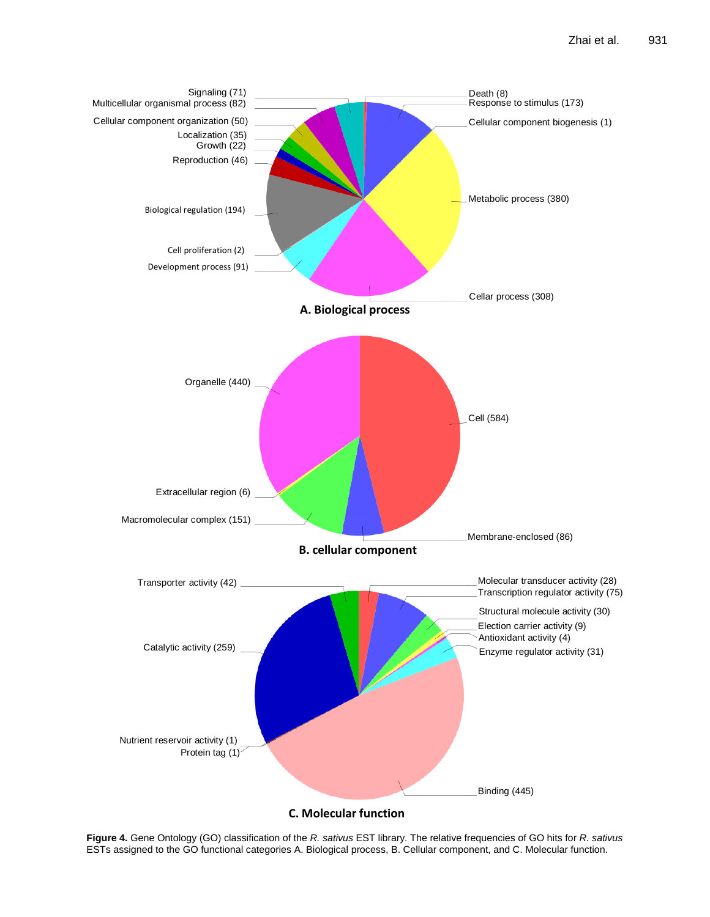

**Figure 4.** Gene Ontology (GO) classification of the *R. sativus* EST library. The relative frequencies of GO hits for *R. sativus* ESTs assigned to the GO functional categories A. Biological process, B. Cellular component, and C. Molecular function.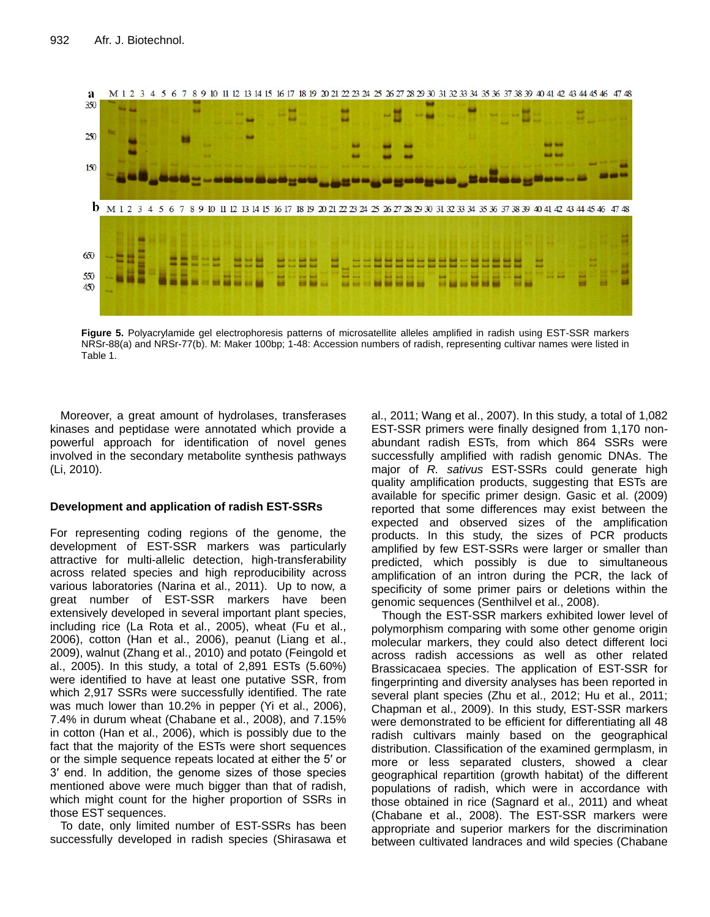

**Figure 5.** Polyacrylamide gel electrophoresis patterns of microsatellite alleles amplified in radish using EST-SSR markers NRSr-88(a) and NRSr-77(b). M: Maker 100bp; 1-48: Accession numbers of radish, representing cultivar names were listed in Table 1.

Moreover, a great amount of hydrolases, transferases kinases and peptidase were annotated which provide a powerful approach for identification of novel genes involved in the secondary metabolite synthesis pathways (Li, 2010).

## **Development and application of radish EST-SSRs**

For representing coding regions of the genome, the development of EST-SSR markers was particularly attractive for multi-allelic detection, high-transferability across related species and high reproducibility across various laboratories (Narina et al., 2011). Up to now, a great number of EST-SSR markers have been extensively developed in several important plant species, including rice (La Rota et al., 2005), wheat (Fu et al., 2006), cotton (Han et al., 2006), peanut (Liang et al., 2009), walnut (Zhang et al., 2010) and potato (Feingold et al., 2005). In this study, a total of 2,891 ESTs (5.60%) were identified to have at least one putative SSR, from which 2,917 SSRs were successfully identified. The rate was much lower than 10.2% in pepper (Yi et al., 2006), 7.4% in durum wheat (Chabane et al., 2008), and 7.15% in cotton (Han et al., 2006), which is possibly due to the fact that the majority of the ESTs were short sequences or the simple sequence repeats located at either the 5′ or 3′ end. In addition, the genome sizes of those species mentioned above were much bigger than that of radish, which might count for the higher proportion of SSRs in those EST sequences.

To date, only limited number of EST-SSRs has been successfully developed in radish species (Shirasawa et al., 2011; Wang et al., 2007). In this study, a total of 1,082 EST-SSR primers were finally designed from 1,170 nonabundant radish ESTs, from which 864 SSRs were successfully amplified with radish genomic DNAs. The major of *R. sativus* EST-SSRs could generate high quality amplification products, suggesting that ESTs are available for specific primer design. Gasic et al. (2009) reported that some differences may exist between the expected and observed sizes of the amplification products. In this study, the sizes of PCR products amplified by few EST-SSRs were larger or smaller than predicted, which possibly is due to simultaneous amplification of an intron during the PCR, the lack of specificity of some primer pairs or deletions within the genomic sequences (Senthilvel et al., 2008).

Though the EST-SSR markers exhibited lower level of polymorphism comparing with some other genome origin molecular markers, they could also detect different loci across radish accessions as well as other related Brassicacaea species. The application of EST-SSR for fingerprinting and diversity analyses has been reported in several plant species (Zhu et al., 2012; Hu et al., 2011; Chapman et al., 2009). In this study, EST-SSR markers were demonstrated to be efficient for differentiating all 48 radish cultivars mainly based on the geographical distribution. Classification of the examined germplasm, in more or less separated clusters, showed a clear geographical repartition (growth habitat) of the different populations of radish, which were in accordance with those obtained in rice (Sagnard et al., 2011) and wheat (Chabane et al., 2008). The EST-SSR markers were appropriate and superior markers for the discrimination between cultivated landraces and wild species (Chabane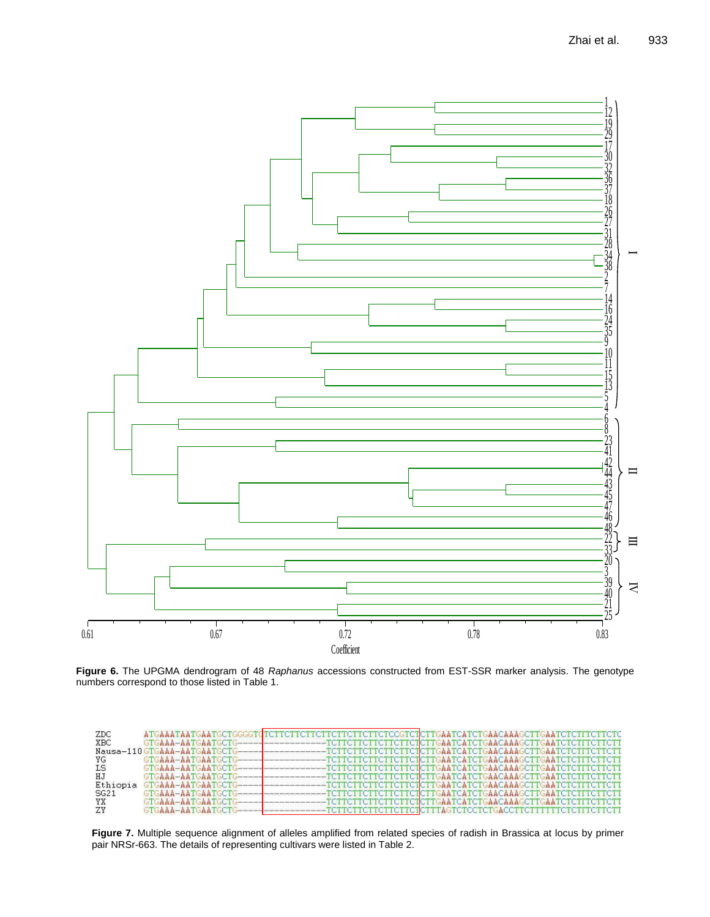

**Figure 6.** The UPGMA dendrogram of 48 *Raphanus* accessions constructed from EST-SSR marker analysis. The genotype<br>numbers acresses and to these listed in Table 1. numbers correspond to those listed in Table 1.

| ZDC      |                                         |                                                                                             |
|----------|-----------------------------------------|---------------------------------------------------------------------------------------------|
| XBC      |                                         |                                                                                             |
|          |                                         |                                                                                             |
| YG       |                                         |                                                                                             |
| ΙS       |                                         |                                                                                             |
| НJ       |                                         | $\textcolor{red}{\textbf{-}TCTTCTTCTTCTTCTTCTGAATCAATCATEAAACAAGCTTGAATCTGTTTCTTCTT}$       |
| Ethiopia | GTGAAA-AATGAATGCTG--------------------- | $-{\tt TCTTCTTCTTCTTCTTCTTCTGAATCATCTGAAGCTTGAATCTCTTCTTCTTCTT}$                            |
| SG21     | GTGAAA-AATGAATGCTG-------               |                                                                                             |
| YX       | GTGAAA-AATGAATGCTG---                   | $\texttt{\textcolor{red}{\textbf{-}TCTTCTTCTTCTTCTGATGA}CCATCTGAACAAGCTTGAATCTCTTCTTCTTCTT$ |
| ZY       |                                         |                                                                                             |

Figure 7. Multiple sequence alignment of alleles amplified from related species of radish in Brassica at locus by primer NRSr-663. The details of representing cultivars were listed in Table 2 pair NRSr-663. The details of representing cultivars were listed in Table 2.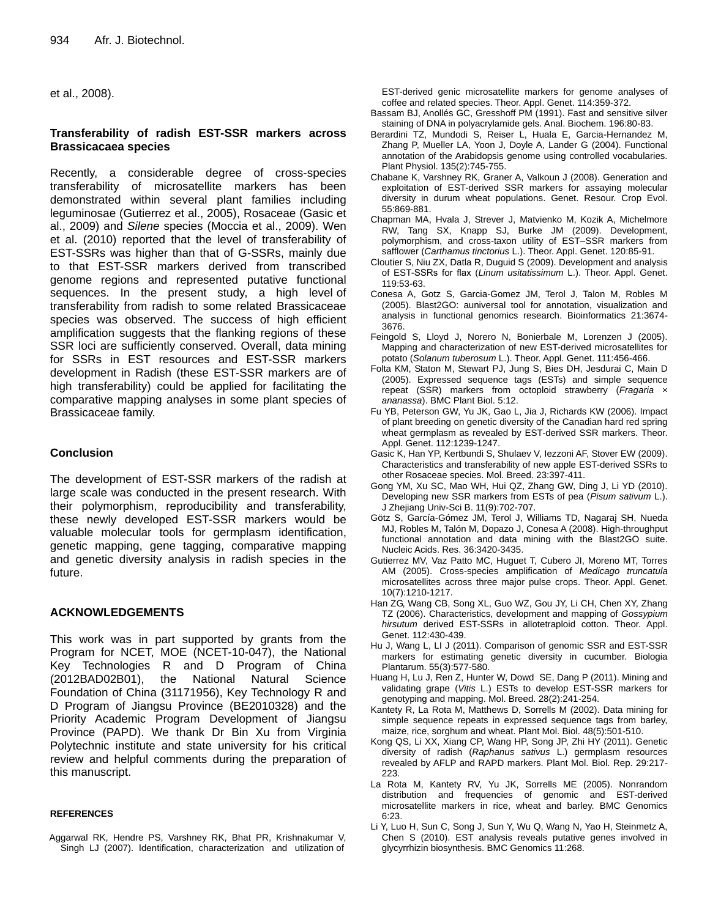et al., 2008).

# **Transferability of radish EST-SSR markers across Brassicacaea species**

Recently, a considerable degree of cross-species transferability of microsatellite markers has been demonstrated within several plant families including leguminosae (Gutierrez et al., 2005), Rosaceae (Gasic et al., 2009) and *Silene* species (Moccia et al., 2009). Wen et al. (2010) reported that the level of transferability of EST-SSRs was higher than that of G-SSRs, mainly due to that EST-SSR markers derived from transcribed genome regions and represented putative functional sequences. In the present study, a high level of transferability from radish to some related Brassicaceae species was observed. The success of high efficient amplification suggests that the flanking regions of these SSR loci are sufficiently conserved. Overall, data mining for SSRs in EST resources and EST-SSR markers development in Radish (these EST-SSR markers are of high transferability) could be applied for facilitating the comparative mapping analyses in some plant species of Brassicaceae family.

## **Conclusion**

The development of EST-SSR markers of the radish at large scale was conducted in the present research. With their polymorphism, reproducibility and transferability, these newly developed EST-SSR markers would be valuable molecular tools for germplasm identification, genetic mapping, gene tagging, comparative mapping and genetic diversity analysis in radish species in the future.

# **ACKNOWLEDGEMENTS**

This work was in part supported by grants from the Program for NCET, MOE (NCET-10-047), the National Key Technologies R and D Program of China (2012BAD02B01), the National Natural Science Foundation of China (31171956), Key Technology R and D Program of Jiangsu Province (BE2010328) and the Priority Academic Program Development of Jiangsu Province (PAPD). We thank Dr Bin Xu from Virginia Polytechnic institute and state university for his critical review and helpful comments during the preparation of this manuscript.

#### **REFERENCES**

Aggarwal RK, Hendre PS, Varshney RK, Bhat PR, Krishnakumar V, Singh LJ (2007). Identification, characterization and utilization of EST-derived genic microsatellite markers for genome analyses of coffee and related species. Theor. Appl. Genet. 114:359-372.

- Bassam BJ, Anollés GC, Gresshoff PM (1991). Fast and sensitive silver staining of DNA in polyacrylamide gels. Anal. Biochem. 196:80-83.
- Berardini TZ, Mundodi S, Reiser L, Huala E, Garcia-Hernandez M, Zhang P, Mueller LA, Yoon J, Doyle A, Lander G (2004). Functional annotation of the Arabidopsis genome using controlled vocabularies. Plant Physiol. 135(2):745-755.
- Chabane K, Varshney RK, Graner A, Valkoun J (2008). Generation and exploitation of EST-derived SSR markers for assaying molecular diversity in durum wheat populations. Genet. Resour. Crop Evol. 55:869-881.
- Chapman MA, Hvala J, Strever J, Matvienko M, Kozik A, Michelmore RW, Tang SX, Knapp SJ, Burke JM (2009). Development, polymorphism, and cross-taxon utility of EST–SSR markers from safflower (*Carthamus tinctorius* L.). Theor. Appl. Genet. 120:85-91.
- Cloutier S, Niu ZX, Datla R, Duguid S (2009). Development and analysis of EST-SSRs for flax (*Linum usitatissimum* L.). Theor. Appl. Genet. 119:53-63.
- Conesa A, Gotz S, Garcia-Gomez JM, Terol J, Talon M, Robles M (2005). Blast2GO: auniversal tool for annotation, visualization and analysis in functional genomics research. Bioinformatics 21:3674- 3676.
- Feingold S, Lloyd J, Norero N, Bonierbale M, Lorenzen J (2005). Mapping and characterization of new EST-derived microsatellites for potato (*Solanum tuberosum* L.). Theor. Appl. Genet. 111:456-466.
- Folta KM, Staton M, Stewart PJ, Jung S, Bies DH, Jesdurai C, Main D (2005). Expressed sequence tags (ESTs) and simple sequence repeat (SSR) markers from octoploid strawberry (*Fragaria* × *ananassa*). BMC Plant Biol. 5:12.
- Fu YB, Peterson GW, Yu JK, Gao L, Jia J, Richards KW (2006). Impact of plant breeding on genetic diversity of the Canadian hard red spring wheat germplasm as revealed by EST-derived SSR markers. Theor. Appl. Genet. 112:1239-1247.
- Gasic K, Han YP, Kertbundi S, Shulaev V, Iezzoni AF, Stover EW (2009). Characteristics and transferability of new apple EST-derived SSRs to other Rosaceae species. Mol. Breed. 23:397-411.
- Gong YM, Xu SC, Mao WH, Hui QZ, Zhang GW, Ding J, Li YD (2010). Developing new SSR markers from ESTs of pea (*Pisum sativum* L.). J Zhejiang Univ-Sci B. 11(9):702-707.
- Götz S, García-Gómez JM, Terol J, Williams TD, Nagaraj SH, Nueda MJ, Robles M, Talón M, Dopazo J, Conesa A (2008). High-throughput functional annotation and data mining with the Blast2GO suite. Nucleic Acids. Res. 36:3420-3435.
- Gutierrez MV, Vaz Patto MC, Huguet T, Cubero JI, Moreno MT, Torres AM (2005). Cross-species amplification of *Medicago truncatula* microsatellites across three major pulse crops. Theor. Appl. Genet. 10(7):1210-1217.
- Han ZG, Wang CB, Song XL, Guo WZ, Gou JY, Li CH, Chen XY, Zhang TZ (2006). Characteristics, development and mapping of *Gossypium hirsutum* derived EST-SSRs in allotetraploid cotton. Theor. Appl. Genet. 112:430-439.
- Hu J, Wang L, LI J (2011). Comparison of genomic SSR and EST-SSR markers for estimating genetic diversity in cucumber. Biologia Plantarum. 55(3):577-580.
- Huang H, Lu J, Ren Z, Hunter W, Dowd SE, Dang P (2011). Mining and validating grape (*Vitis* L.) ESTs to develop EST-SSR markers for genotyping and mapping. Mol. Breed. 28(2):241-254.
- Kantety R, La Rota M, Matthews D, Sorrells M (2002). Data mining for simple sequence repeats in expressed sequence tags from barley, maize, rice, sorghum and wheat. Plant Mol. Biol. 48(5):501-510.
- Kong QS, Li XX, Xiang CP, Wang HP, Song JP, Zhi HY (2011). Genetic diversity of radish (*Raphanus sativus* L.) germplasm resources revealed by AFLP and RAPD markers. Plant Mol. Biol. Rep. 29:217- 223.
- La Rota M, Kantety RV, Yu JK, Sorrells ME (2005). Nonrandom distribution and frequencies of genomic and EST-derived microsatellite markers in rice, wheat and barley. BMC Genomics 6:23.
- Li Y, Luo H, Sun C, Song J, Sun Y, Wu Q, Wang N, Yao H, Steinmetz A, Chen S (2010). EST analysis reveals putative genes involved in glycyrrhizin biosynthesis. BMC Genomics 11:268.